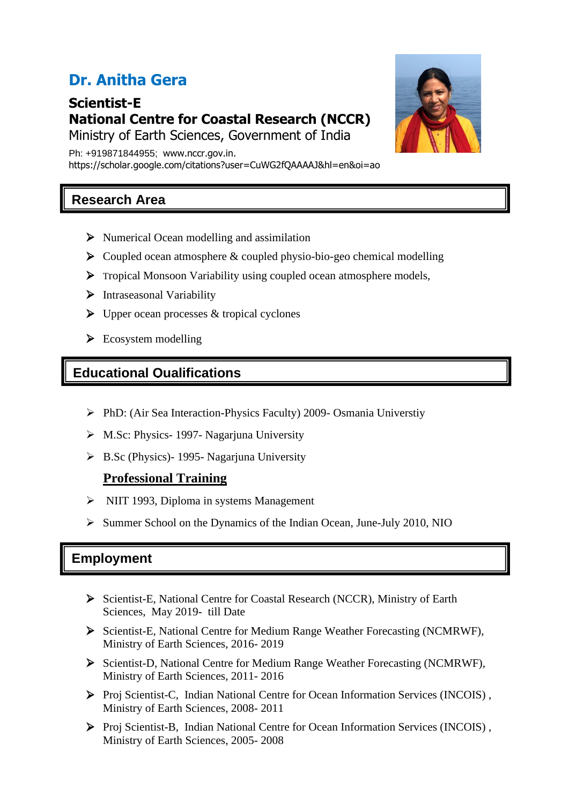# **Dr. Anitha Gera**

**Scientist-E National Centre for Coastal Research (NCCR)**

Ministry of Earth Sciences, Government of India

Ph: +919871844955; www.nccr.gov.in. https://scholar.google.com/citations?user=CuWG2fQAAAAJ&hl=en&oi=ao

# **Research Area**

- ➢ Numerical Ocean modelling and assimilation
- $\triangleright$  Coupled ocean atmosphere & coupled physio-bio-geo chemical modelling
- ➢ Tropical Monsoon Variability using coupled ocean atmosphere models,
- ➢ Intraseasonal Variability
- $\triangleright$  Upper ocean processes & tropical cyclones
- $\triangleright$  Ecosystem modelling

## **Educational Qualifications**

- ➢ PhD: (Air Sea Interaction-Physics Faculty) 2009- Osmania Universtiy
- ➢ M.Sc: Physics- 1997- Nagarjuna University
- ➢ B.Sc (Physics)- 1995- Nagarjuna University

#### **Professional Training**

- ➢ NIIT 1993, Diploma in systems Management
- ➢ Summer School on the Dynamics of the Indian Ocean, June-July 2010, NIO

## **Employment**

- ➢ Scientist-E, National Centre for Coastal Research (NCCR), Ministry of Earth Sciences, May 2019- till Date
- ➢ Scientist-E, National Centre for Medium Range Weather Forecasting (NCMRWF), Ministry of Earth Sciences, 2016- 2019
- ➢ Scientist-D, National Centre for Medium Range Weather Forecasting (NCMRWF), Ministry of Earth Sciences, 2011- 2016
- ➢ Proj Scientist-C, Indian National Centre for Ocean Information Services (INCOIS) , Ministry of Earth Sciences, 2008- 2011
- ➢ Proj Scientist-B, Indian National Centre for Ocean Information Services (INCOIS) , Ministry of Earth Sciences, 2005- 2008